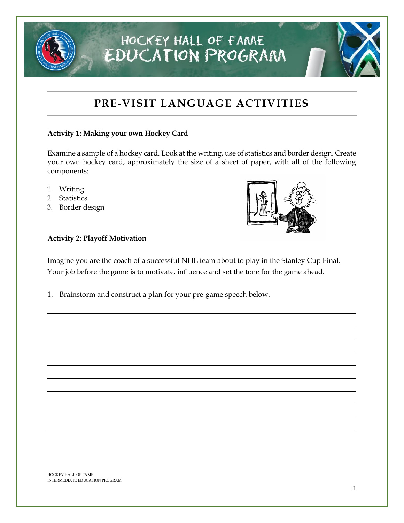## **PRE-VISIT LANGUAGE ACTIVITIES**

HOCKEY HALL OF FAME

**EDUCATION PROGRAM** 

### **Activity 1: Making your own Hockey Card**

Examine a sample of a hockey card. Look at the writing, use of statistics and border design. Create your own hockey card, approximately the size of a sheet of paper, with all of the following components:

- 1. Writing
- 2. Statistics
- 3. Border design



### **Activity 2: Playoff Motivation**

Imagine you are the coach of a successful NHL team about to play in the Stanley Cup Final. Your job before the game is to motivate, influence and set the tone for the game ahead.

1. Brainstorm and construct a plan for your pre-game speech below.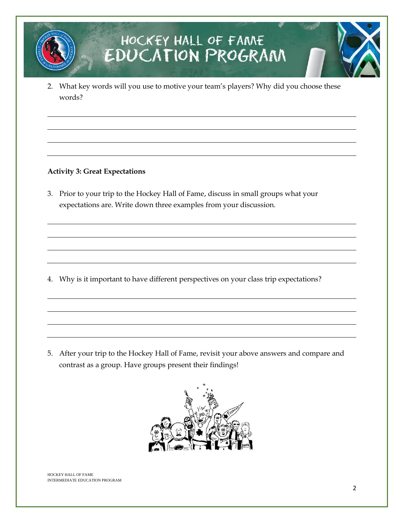2. What key words will you use to motive your team's players? Why did you choose these words?

### **Activity 3: Great Expectations**

3. Prior to your trip to the Hockey Hall of Fame, discuss in small groups what your expectations are. Write down three examples from your discussion.

4. Why is it important to have different perspectives on your class trip expectations?

5. After your trip to the Hockey Hall of Fame, revisit your above answers and compare and contrast as a group. Have groups present their findings!

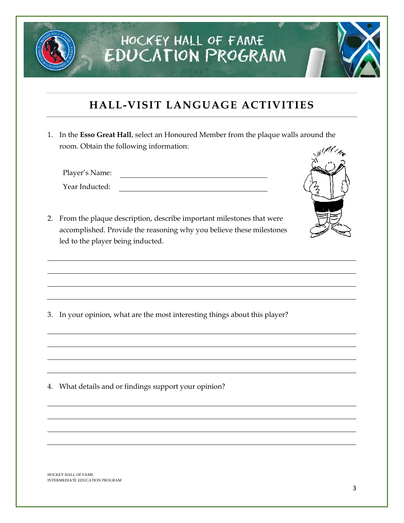### **HALL-VISIT LANGUAGE ACTIVITIES**

1. In the **Esso Great Hall**, select an Honoured Member from the plaque walls around the room. Obtain the following information:

Player's Name:

Year Inducted:



2. From the plaque description, describe important milestones that were accomplished. Provide the reasoning why you believe these milestones led to the player being inducted.

3. In your opinion, what are the most interesting things about this player?

4. What details and or findings support your opinion?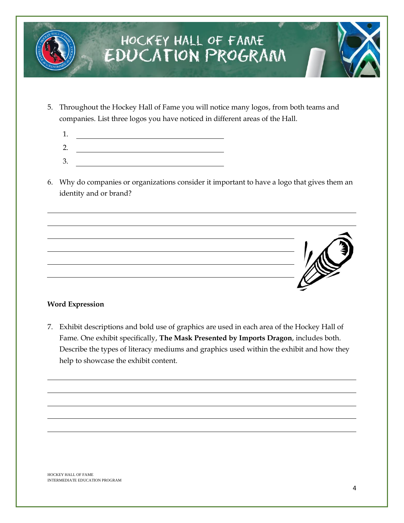- 5. Throughout the Hockey Hall of Fame you will notice many logos, from both teams and companies. List three logos you have noticed in different areas of the Hall.
	- 1. <u> 1980 - Johann Barn, mars ann an t-Amhain Aonaich an t-Aonaich an t-Aonaich ann an t-Aonaich ann an t-Aonaich</u>
	- 2.
	- 3.
- 6. Why do companies or organizations consider it important to have a logo that gives them an identity and or brand?



### **Word Expression**

7. Exhibit descriptions and bold use of graphics are used in each area of the Hockey Hall of Fame. One exhibit specifically, **The Mask Presented by Imports Dragon**, includes both. Describe the types of literacy mediums and graphics used within the exhibit and how they help to showcase the exhibit content.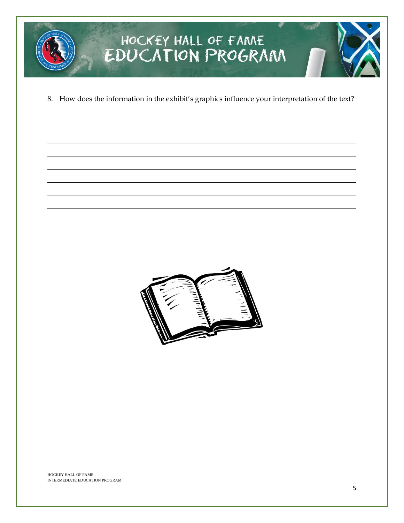![](_page_4_Picture_0.jpeg)

8. How does the information in the exhibit's graphics influence your interpretation of the text?

![](_page_4_Picture_2.jpeg)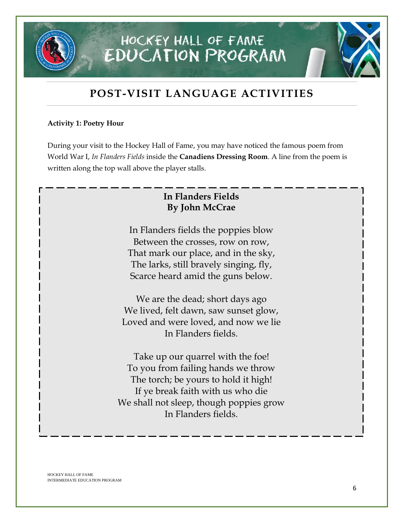### **POST-VISIT LANGUAGE ACTIVITIES**

### **Activity 1: Poetry Hour**

During your visit to the Hockey Hall of Fame, you may have noticed the famous poem from World War I, *In Flanders Fields* inside the **Canadiens Dressing Room**. A line from the poem is written along the top wall above the player stalls.

### **In Flanders Fields By John McCrae**

In Flanders fields the poppies blow Between the crosses, row on row, That mark our place, and in the sky, The larks, still bravely singing, fly, Scarce heard amid the guns below.

We are the dead; short days ago We lived, felt dawn, saw sunset glow, Loved and were loved, and now we lie In Flanders fields.

Take up our quarrel with the foe! To you from failing hands we throw The torch; be yours to hold it high! If ye break faith with us who die We shall not sleep, though poppies grow In Flanders fields.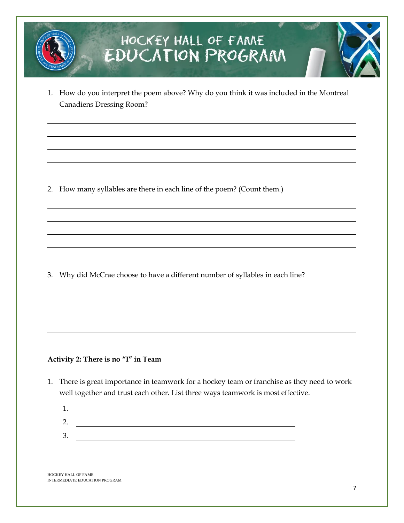1. How do you interpret the poem above? Why do you think it was included in the Montreal Canadiens Dressing Room?

2. How many syllables are there in each line of the poem? (Count them.)

3. Why did McCrae choose to have a different number of syllables in each line?

### **Activity 2: There is no "I" in Team**

- 1. There is great importance in teamwork for a hockey team or franchise as they need to work well together and trust each other. List three ways teamwork is most effective.
	- 1. 2. <u> 1989 - Johann Barbara, martin amerikan basal dan berasal dan berasal dalam basal dalam basal dalam basal dala</u> 3.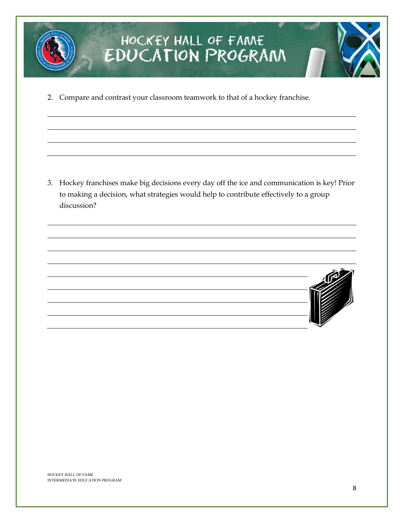![](_page_7_Picture_0.jpeg)

2. Compare and contrast your classroom teamwork to that of a hockey franchise.

3. Hockey franchises make big decisions every day off the ice and communication is key! Prior to making a decision, what strategies would help to contribute effectively to a group discussion?

![](_page_7_Picture_4.jpeg)